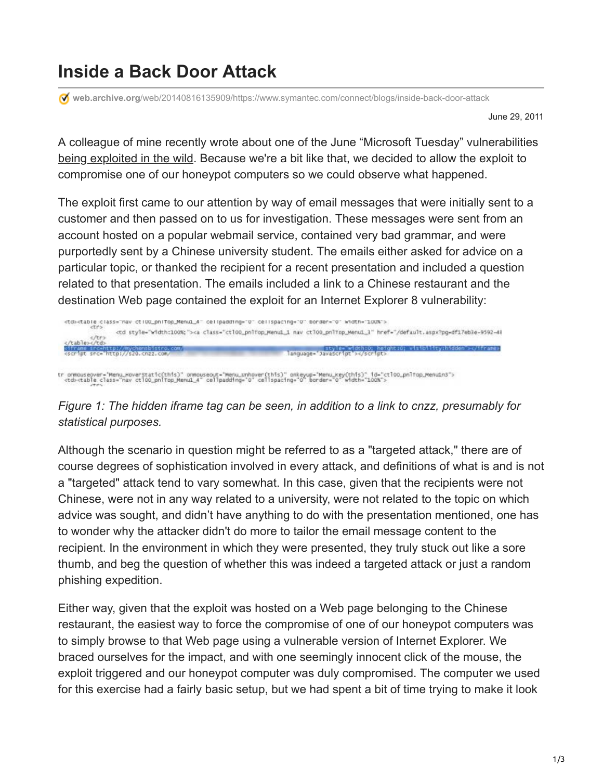## **Inside a Back Door Attack**

**web.archive.org**[/web/20140816135909/https://www.symantec.com/connect/blogs/inside-back-door-attack](https://web.archive.org/web/20140816135909/https://www.symantec.com/connect/blogs/inside-back-door-attack)

June 29, 2011

A colleague of mine recently wrote about one of the June "Microsoft Tuesday" vulnerabilities [being exploited in the wild](https://web.archive.org/web/20140816135909/http://www.symantec.com/connect/blogs/vulnerability-june-ms-tuesday-wild). Because we're a bit like that, we decided to allow the exploit to compromise one of our honeypot computers so we could observe what happened.

The exploit first came to our attention by way of email messages that were initially sent to a customer and then passed on to us for investigation. These messages were sent from an account hosted on a popular webmail service, contained very bad grammar, and were purportedly sent by a Chinese university student. The emails either asked for advice on a particular topic, or thanked the recipient for a recent presentation and included a question related to that presentation. The emails included a link to a Chinese restaurant and the destination Web page contained the exploit for an Internet Explorer 8 vulnerability:



tr ormouseover="Menu\_Hoverstatic(this)" onmouseout="Menu\_unhover(this)" onkeyup="Menu\_key(this)" id="ctl00\_pnlTap\_Menu1n3"><br><td><table\_class="nav\_ctl00\_pnlTap\_Menu1\_4" cellpadding="0" cellspacing="0" border="0" width="100%

*Figure 1: The hidden iframe tag can be seen, in addition to a link to cnzz, presumably for statistical purposes.*

Although the scenario in question might be referred to as a "targeted attack," there are of course degrees of sophistication involved in every attack, and definitions of what is and is not a "targeted" attack tend to vary somewhat. In this case, given that the recipients were not Chinese, were not in any way related to a university, were not related to the topic on which advice was sought, and didn't have anything to do with the presentation mentioned, one has to wonder why the attacker didn't do more to tailor the email message content to the recipient. In the environment in which they were presented, they truly stuck out like a sore thumb, and beg the question of whether this was indeed a targeted attack or just a random phishing expedition.

Either way, given that the exploit was hosted on a Web page belonging to the Chinese restaurant, the easiest way to force the compromise of one of our honeypot computers was to simply browse to that Web page using a vulnerable version of Internet Explorer. We braced ourselves for the impact, and with one seemingly innocent click of the mouse, the exploit triggered and our honeypot computer was duly compromised. The computer we used for this exercise had a fairly basic setup, but we had spent a bit of time trying to make it look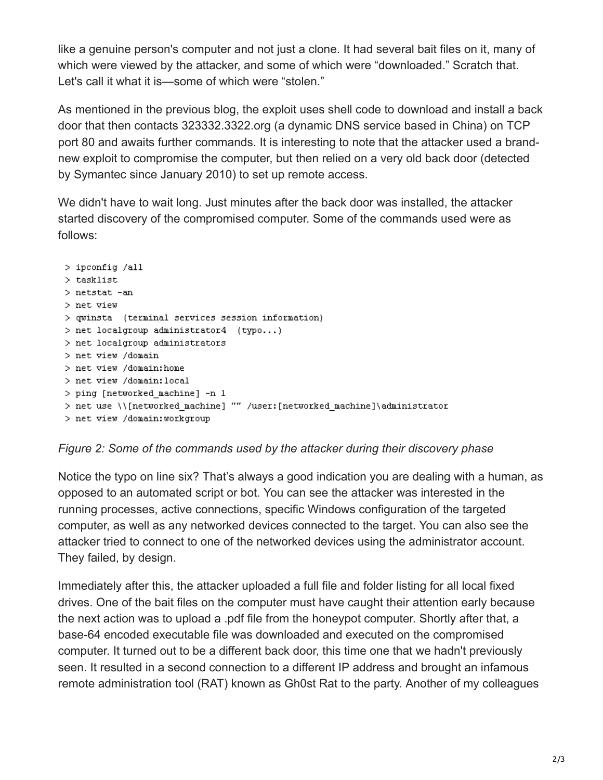like a genuine person's computer and not just a clone. It had several bait files on it, many of which were viewed by the attacker, and some of which were "downloaded." Scratch that. Let's call it what it is—some of which were "stolen."

As mentioned in the previous blog, the exploit uses shell code to download and install a back door that then contacts 323332.3322.org (a dynamic DNS service based in China) on TCP port 80 and awaits further commands. It is interesting to note that the attacker used a brandnew exploit to compromise the computer, but then relied on a very old back door (detected by Symantec since January 2010) to set up remote access.

We didn't have to wait long. Just minutes after the back door was installed, the attacker started discovery of the compromised computer. Some of the commands used were as follows:

```
> ipconfig /all
> tasklist
> netstat -an
> net view
> qwinsta (terminal services session information)
> net localgroup administrator4 (typo...)
> net localgroup administrators
> net view /domain
> net view /domain: home
> net view /domain: local
> ping [networked machine] -n 1
> net use \\[networked_machine] "" /user:[networked_machine]\administrator
> net view /domain:workgroup
```
## *Figure 2: Some of the commands used by the attacker during their discovery phase*

Notice the typo on line six? That's always a good indication you are dealing with a human, as opposed to an automated script or bot. You can see the attacker was interested in the running processes, active connections, specific Windows configuration of the targeted computer, as well as any networked devices connected to the target. You can also see the attacker tried to connect to one of the networked devices using the administrator account. They failed, by design.

Immediately after this, the attacker uploaded a full file and folder listing for all local fixed drives. One of the bait files on the computer must have caught their attention early because the next action was to upload a .pdf file from the honeypot computer. Shortly after that, a base-64 encoded executable file was downloaded and executed on the compromised computer. It turned out to be a different back door, this time one that we hadn't previously seen. It resulted in a second connection to a different IP address and brought an infamous remote administration tool (RAT) known as Gh0st Rat to the party. Another of my colleagues